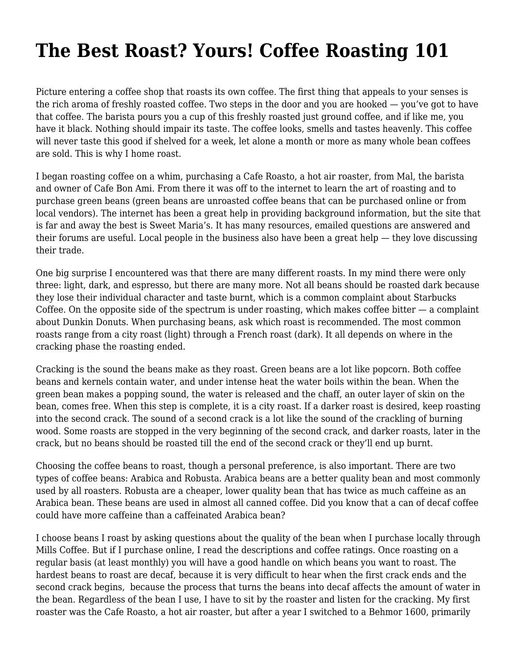## **[The Best Roast? Yours! Coffee Roasting 101](https://motifri.com/the-best-roast-yours-coffee-roasting-101/)**

Picture entering a coffee shop that roasts its own coffee. The first thing that appeals to your senses is the rich aroma of freshly roasted coffee. Two steps in the door and you are hooked — you've got to have that coffee. The barista pours you a cup of this freshly roasted just ground coffee, and if like me, you have it black. Nothing should impair its taste. The coffee looks, smells and tastes heavenly. This coffee will never taste this good if shelved for a week, let alone a month or more as many whole bean coffees are sold. This is why I home roast.

I began roasting coffee on a whim, purchasing a Cafe Roasto, a hot air roaster, from Mal, the barista and owner of Cafe Bon Ami. From there it was off to the internet to learn the art of roasting and to purchase green beans (green beans are unroasted coffee beans that can be purchased online or from local vendors). The internet has been a great help in providing background information, but the site that is far and away the best is Sweet Maria's. It has many resources, emailed questions are answered and their forums are useful. Local people in the business also have been a great help — they love discussing their trade.

One big surprise I encountered was that there are many different roasts. In my mind there were only three: light, dark, and espresso, but there are many more. Not all beans should be roasted dark because they lose their individual character and taste burnt, which is a common complaint about Starbucks Coffee. On the opposite side of the spectrum is under roasting, which makes coffee bitter  $-$  a complaint about Dunkin Donuts. When purchasing beans, ask which roast is recommended. The most common roasts range from a city roast (light) through a French roast (dark). It all depends on where in the cracking phase the roasting ended.

Cracking is the sound the beans make as they roast. Green beans are a lot like popcorn. Both coffee beans and kernels contain water, and under intense heat the water boils within the bean. When the green bean makes a popping sound, the water is released and the chaff, an outer layer of skin on the bean, comes free. When this step is complete, it is a city roast. If a darker roast is desired, keep roasting into the second crack. The sound of a second crack is a lot like the sound of the crackling of burning wood. Some roasts are stopped in the very beginning of the second crack, and darker roasts, later in the crack, but no beans should be roasted till the end of the second crack or they'll end up burnt.

Choosing the coffee beans to roast, though a personal preference, is also important. There are two types of coffee beans: Arabica and Robusta. Arabica beans are a better quality bean and most commonly used by all roasters. Robusta are a cheaper, lower quality bean that has twice as much caffeine as an Arabica bean. These beans are used in almost all canned coffee. Did you know that a can of decaf coffee could have more caffeine than a caffeinated Arabica bean?

I choose beans I roast by asking questions about the quality of the bean when I purchase locally through Mills Coffee. But if I purchase online, I read the descriptions and coffee ratings. Once roasting on a regular basis (at least monthly) you will have a good handle on which beans you want to roast. The hardest beans to roast are decaf, because it is very difficult to hear when the first crack ends and the second crack begins, because the process that turns the beans into decaf affects the amount of water in the bean. Regardless of the bean I use, I have to sit by the roaster and listen for the cracking. My first roaster was the Cafe Roasto, a hot air roaster, but after a year I switched to a Behmor 1600, primarily